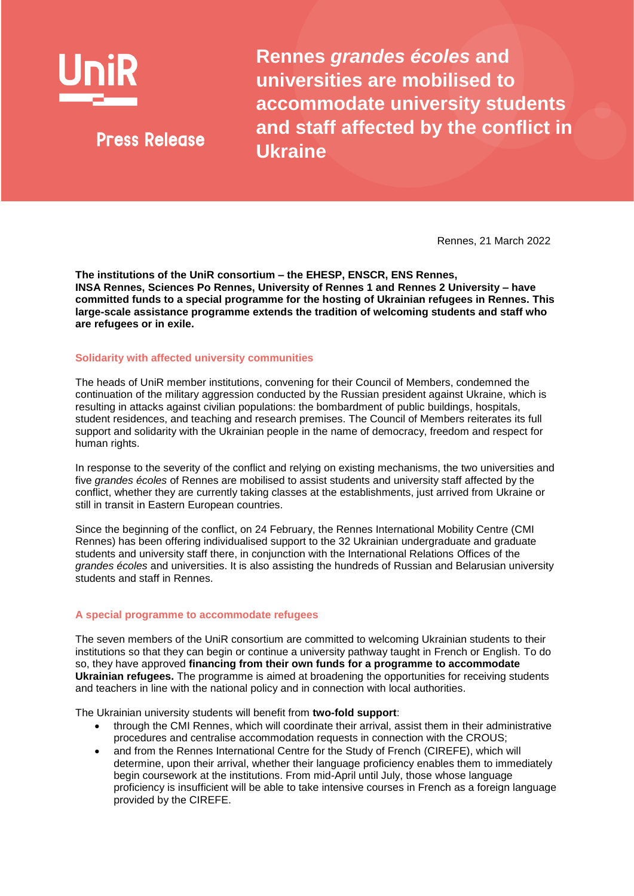

**Press Release** 

**Rennes** *grandes écoles* **and universities are mobilised to accommodate university students and staff affected by the conflict in Ukraine**

Rennes, 21 March 2022

**The institutions of the UniR consortium – the EHESP, ENSCR, ENS Rennes, INSA Rennes, Sciences Po Rennes, University of Rennes 1 and Rennes 2 University – have committed funds to a special programme for the hosting of Ukrainian refugees in Rennes. This large-scale assistance programme extends the tradition of welcoming students and staff who are refugees or in exile.**

## **Solidarity with affected university communities**

The heads of UniR member institutions, convening for their Council of Members, condemned the continuation of the military aggression conducted by the Russian president against Ukraine, which is resulting in attacks against civilian populations: the bombardment of public buildings, hospitals, student residences, and teaching and research premises. The Council of Members reiterates its full support and solidarity with the Ukrainian people in the name of democracy, freedom and respect for human rights.

In response to the severity of the conflict and relying on existing mechanisms, the two universities and five *grandes écoles* of Rennes are mobilised to assist students and university staff affected by the conflict, whether they are currently taking classes at the establishments, just arrived from Ukraine or still in transit in Eastern European countries.

Since the beginning of the conflict, on 24 February, the Rennes International Mobility Centre (CMI Rennes) has been offering individualised support to the 32 Ukrainian undergraduate and graduate students and university staff there, in conjunction with the International Relations Offices of the *grandes écoles* and universities. It is also assisting the hundreds of Russian and Belarusian university students and staff in Rennes.

## **A special programme to accommodate refugees**

The seven members of the UniR consortium are committed to welcoming Ukrainian students to their institutions so that they can begin or continue a university pathway taught in French or English. To do so, they have approved **financing from their own funds for a programme to accommodate Ukrainian refugees.** The programme is aimed at broadening the opportunities for receiving students and teachers in line with the national policy and in connection with local authorities.

The Ukrainian university students will benefit from **two-fold support**:

- through the CMI Rennes, which will coordinate their arrival, assist them in their administrative procedures and centralise accommodation requests in connection with the CROUS;
- and from the Rennes International Centre for the Study of French (CIREFE), which will determine, upon their arrival, whether their language proficiency enables them to immediately begin coursework at the institutions. From mid-April until July, those whose language proficiency is insufficient will be able to take intensive courses in French as a foreign language provided by the CIREFE.